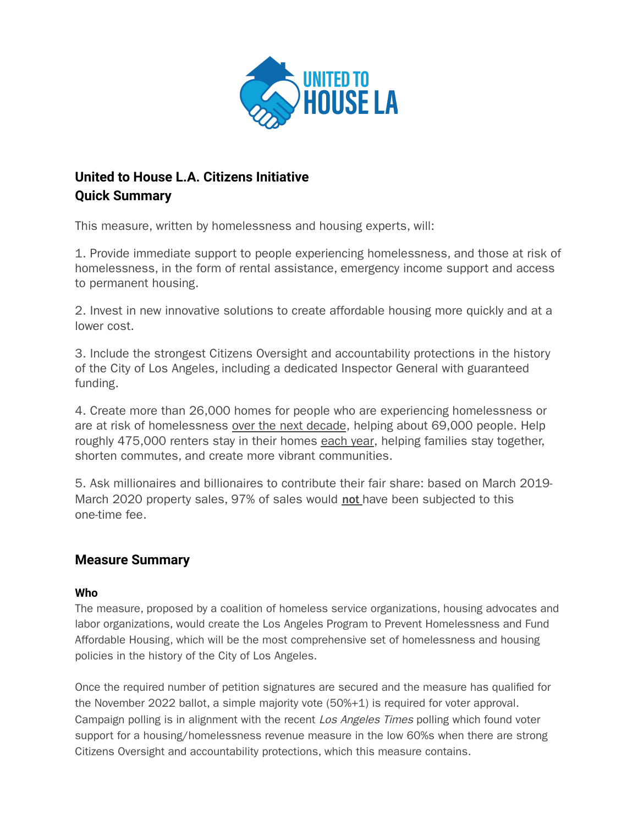

# **United to House L.A. Citizens Initiative Quick Summary**

This measure, written by homelessness and housing experts, will:

1. Provide immediate support to people experiencing homelessness, and those at risk of homelessness, in the form of rental assistance, emergency income support and access to permanent housing.

2. Invest in new innovative solutions to create affordable housing more quickly and at a lower cost.

3. Include the strongest Citizens Oversight and accountability protections in the history of the City of Los Angeles, including a dedicated Inspector General with guaranteed funding.

4. Create more than 26,000 homes for people who are experiencing homelessness or are at risk of homelessness over the next decade, helping about 69,000 people. Help roughly 475,000 renters stay in their homes each year, helping families stay together, shorten commutes, and create more vibrant communities.

5. Ask millionaires and billionaires to contribute their fair share: based on March 2019- March 2020 property sales, 97% of sales would not have been subjected to this one-time fee.

## **Measure Summary**

### **Who**

The measure, proposed by a coalition of homeless service organizations, housing advocates and labor organizations, would create the Los Angeles Program to Prevent Homelessness and Fund Affordable Housing, which will be the most comprehensive set of homelessness and housing policies in the history of the City of Los Angeles.

Once the required number of petition signatures are secured and the measure has qualified for the November 2022 ballot, a simple majority vote (50%+1) is required for voter approval. Campaign polling is in alignment with the recent Los Angeles Times polling which found voter support for a housing/homelessness revenue measure in the low 60%s when there are strong Citizens Oversight and accountability protections, which this measure contains.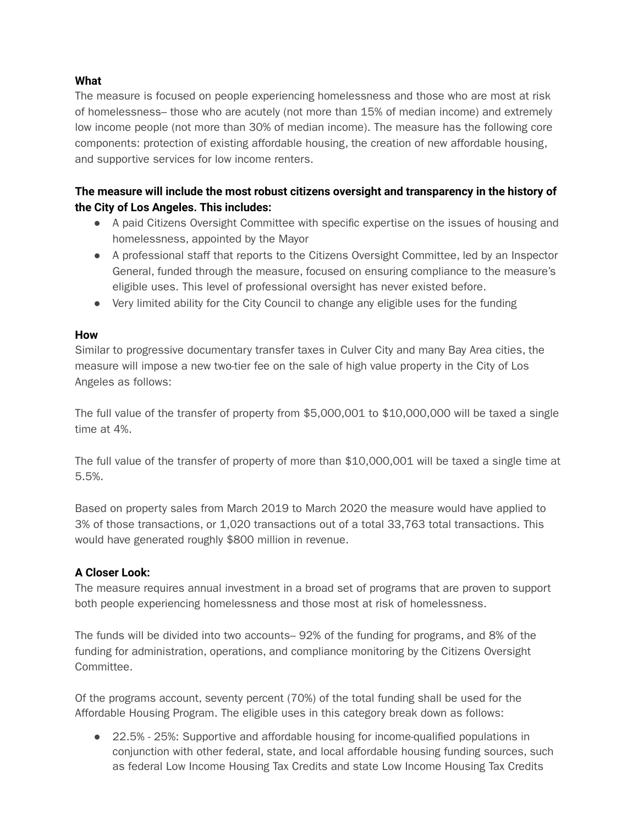#### **What**

The measure is focused on people experiencing homelessness and those who are most at risk of homelessness– those who are acutely (not more than 15% of median income) and extremely low income people (not more than 30% of median income). The measure has the following core components: protection of existing affordable housing, the creation of new affordable housing, and supportive services for low income renters.

#### **The measure will include the most robust citizens oversight and transparency in the history of the City of Los Angeles. This includes:**

- A paid Citizens Oversight Committee with specific expertise on the issues of housing and homelessness, appointed by the Mayor
- A professional staff that reports to the Citizens Oversight Committee, led by an Inspector General, funded through the measure, focused on ensuring compliance to the measure's eligible uses. This level of professional oversight has never existed before.
- Very limited ability for the City Council to change any eligible uses for the funding

#### **How**

Similar to progressive documentary transfer taxes in Culver City and many Bay Area cities, the measure will impose a new two-tier fee on the sale of high value property in the City of Los Angeles as follows:

The full value of the transfer of property from \$5,000,001 to \$10,000,000 will be taxed a single time at 4%.

The full value of the transfer of property of more than \$10,000,001 will be taxed a single time at 5.5%.

Based on property sales from March 2019 to March 2020 the measure would have applied to 3% of those transactions, or 1,020 transactions out of a total 33,763 total transactions. This would have generated roughly \$800 million in revenue.

#### **A Closer Look:**

The measure requires annual investment in a broad set of programs that are proven to support both people experiencing homelessness and those most at risk of homelessness.

The funds will be divided into two accounts– 92% of the funding for programs, and 8% of the funding for administration, operations, and compliance monitoring by the Citizens Oversight Committee.

Of the programs account, seventy percent (70%) of the total funding shall be used for the Affordable Housing Program. The eligible uses in this category break down as follows:

● 22.5% - 25%: Supportive and affordable housing for income-qualified populations in conjunction with other federal, state, and local affordable housing funding sources, such as federal Low Income Housing Tax Credits and state Low Income Housing Tax Credits